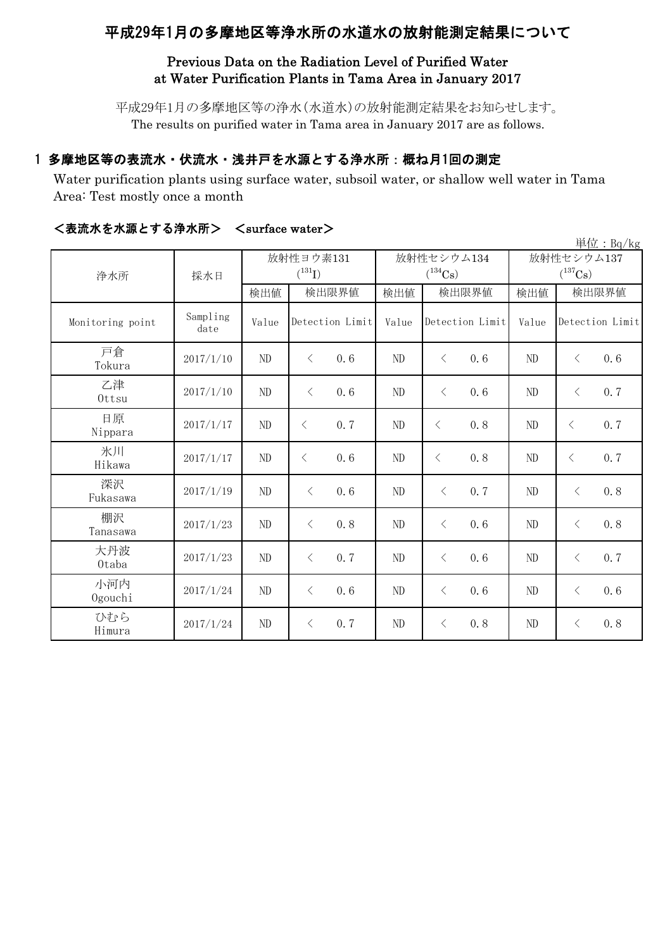# 平成29年1月の多摩地区等浄水所の水道水の放射能測定結果について

#### Previous Data on the Radiation Level of Purified Water at Water Purification Plants in Tama Area in January 2017

平成29年1月の多摩地区等の浄水(水道水)の放射能測定結果をお知らせします。 The results on purified water in Tama area in January 2017 are as follows.

# 1 多摩地区等の表流水・伏流水・浅井戸を水源とする浄水所:概ね月1回の測定

Water purification plants using surface water, subsoil water, or shallow well water in Tama Area: Test mostly once a month

| 単位: $Bq/kg$      |                  |             |                   |       |                   |                       |                  |  |
|------------------|------------------|-------------|-------------------|-------|-------------------|-----------------------|------------------|--|
|                  | 採水日              |             | 放射性ヨウ素131         |       | 放射性セシウム134        | 放射性セシウム137            |                  |  |
| 浄水所              |                  | $(^{131}I)$ |                   |       | $(^{134}Cs)$      | $(^{137}\mathrm{Cs})$ |                  |  |
|                  |                  | 検出値         | 検出限界値             | 検出値   | 検出限界値             | 検出値                   | 検出限界値            |  |
| Monitoring point | Sampling<br>date | Value       | Detection Limit   | Value | Detection Limit   | Value                 | Detection Limit  |  |
| 戸倉<br>Tokura     | 2017/1/10        | ND          | $\langle$<br>0.6  | ND    | $\langle$<br>0, 6 | ND                    | 0.6<br>$\langle$ |  |
| 乙津<br>Ottsu      | 2017/1/10        | $\rm ND$    | 0.6<br>$\langle$  | ND    | $\langle$<br>0, 6 | ND                    | 0.7<br>$\langle$ |  |
| 日原<br>Nippara    | 2017/1/17        | ND          | 0.7<br>$\lt$      | ND    | $\langle$<br>0.8  | ND                    | 0.7<br>$\lt$     |  |
| 氷川<br>Hikawa     | 2017/1/17        | ND          | 0.6<br>$\langle$  | ND    | 0.8<br>$\lt$      | ND                    | 0.7<br>$\langle$ |  |
| 深沢<br>Fukasawa   | 2017/1/19        | ND          | 0, 6<br>$\langle$ | ND    | $\lt$<br>0.7      | ND                    | 0.8<br>$\langle$ |  |
| 棚沢<br>Tanasawa   | 2017/1/23        | ND          | 0.8<br>$\langle$  | ND    | $\langle$<br>0.6  | ND                    | 0.8<br>$\langle$ |  |
| 大丹波<br>0taba     | 2017/1/23        | ND          | 0.7<br>$\langle$  | ND    | 0, 6<br>$\lt$     | ND                    | 0.7<br>$\langle$ |  |
| 小河内<br>Ogouchi   | 2017/1/24        | ND          | 0.6<br>$\langle$  | ND    | $\langle$<br>0.6  | ND                    | 0.6<br>$\langle$ |  |
| ひむら<br>Himura    | 2017/1/24        | ND          | 0.7<br>$\langle$  | ND    | 0.8<br>$\lt$      | ND                    | 0.8<br>$\langle$ |  |

#### <表流水を水源とする浄水所> <surface water>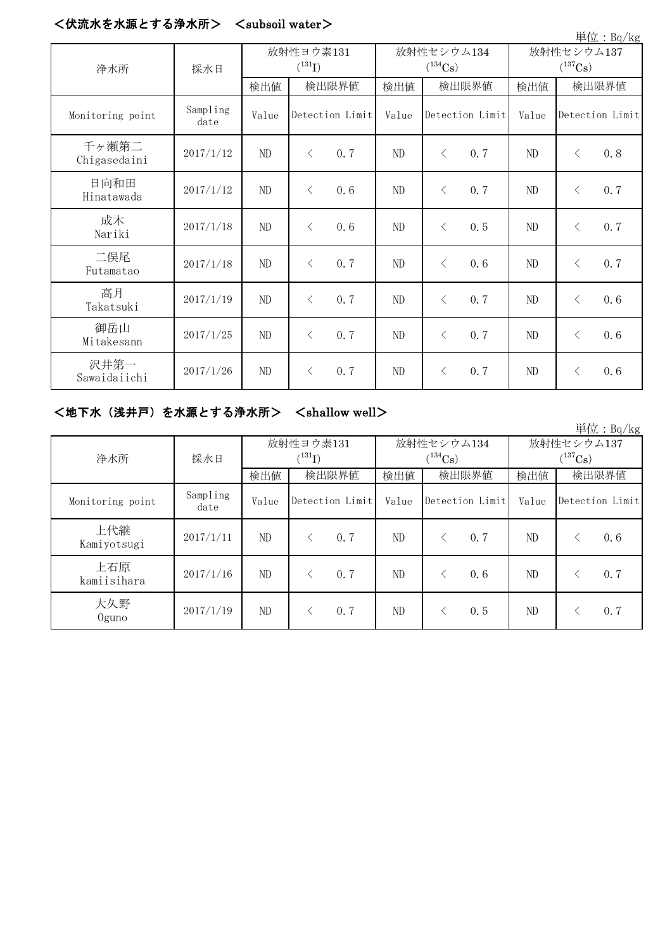## <伏流水を水源とする浄水所> <subsoil water>

| 単位: Bq/kg             |                  |             |           |                 |              |           |                 |                       |           |                 |
|-----------------------|------------------|-------------|-----------|-----------------|--------------|-----------|-----------------|-----------------------|-----------|-----------------|
|                       | 採水日              | 放射性ヨウ素131   |           |                 | 放射性セシウム134   |           |                 | 放射性セシウム137            |           |                 |
| 浄水所                   |                  | $(^{131}I)$ |           |                 | $(^{134}Cs)$ |           |                 | $(^{137}\mathrm{Cs})$ |           |                 |
|                       |                  | 検出値         | 検出限界値     |                 | 検出値          | 検出限界値     |                 | 検出値                   | 検出限界値     |                 |
| Monitoring point      | Sampling<br>date | Value       |           | Detection Limit | Value        |           | Detection Limit | Value                 |           | Detection Limit |
| 千ヶ瀬第二<br>Chigasedaini | 2017/1/12        | $\rm ND$    | $\langle$ | 0.7             | $\rm ND$     | $\lt$     | 0.7             | ND                    | $\lt$     | 0.8             |
| 日向和田<br>Hinatawada    | 2017/1/12        | ND          | $\lt$     | 0.6             | ND           | $\lt$     | 0.7             | ND                    | $\lt$     | 0.7             |
| 成木<br>Nariki          | 2017/1/18        | $\rm ND$    | $\langle$ | 0.6             | ND           | $\lt$     | 0.5             | ND                    | $\lt$     | 0.7             |
| 二俣尾<br>Futamatao      | 2017/1/18        | $\rm ND$    | $\langle$ | 0.7             | ND           | $\lt$     | 0.6             | ND                    | $\lt$     | 0.7             |
| 高月<br>Takatsuki       | 2017/1/19        | $\rm ND$    | $\langle$ | 0.7             | ND           | $\lt$     | 0.7             | ND                    | $\lt$     | 0.6             |
| 御岳山<br>Mitakesann     | 2017/1/25        | $\rm ND$    | $\lt$     | 0.7             | $\rm ND$     | $\lt$     | 0.7             | ND                    | $\lt$     | 0.6             |
| 沢井第一<br>Sawaidaiichi  | 2017/1/26        | ND          | $\lt$     | 0.7             | ND           | $\langle$ | 0.7             | ND                    | $\langle$ | 0.6             |

## <地下水(浅井戸)を水源とする浄水所> <shallow well>

単位:Bq/kg

|                    | 採水日              |       | 放射性ヨウ素131       |       | 放射性セシウム134      | 放射性セシウム137   |                 |  |
|--------------------|------------------|-------|-----------------|-------|-----------------|--------------|-----------------|--|
| 浄水所                |                  |       | $(^{131}I)$     |       | $(^{134}Cs)$    | $(^{137}Cs)$ |                 |  |
|                    |                  | 検出値   | 検出限界値           | 検出値   | 検出限界値           | 検出値          | 検出限界値           |  |
| Monitoring point   | Sampling<br>date | Value | Detection Limit | Value | Detection Limit | Value        | Detection Limit |  |
| 上代継<br>Kamiyotsugi | 2017/1/11        | ND.   | 0.7             | ND    | 0, 7            | ND           | 0.6             |  |
| 上石原<br>kamiisihara | 2017/1/16        | ND.   | 0.7             | ND.   | 0.6             | ND           | 0.7             |  |
| 大久野<br>0guno       | 2017/1/19        | ND.   | 0.7             | ND    | 0.5             | ND           | 0, 7            |  |